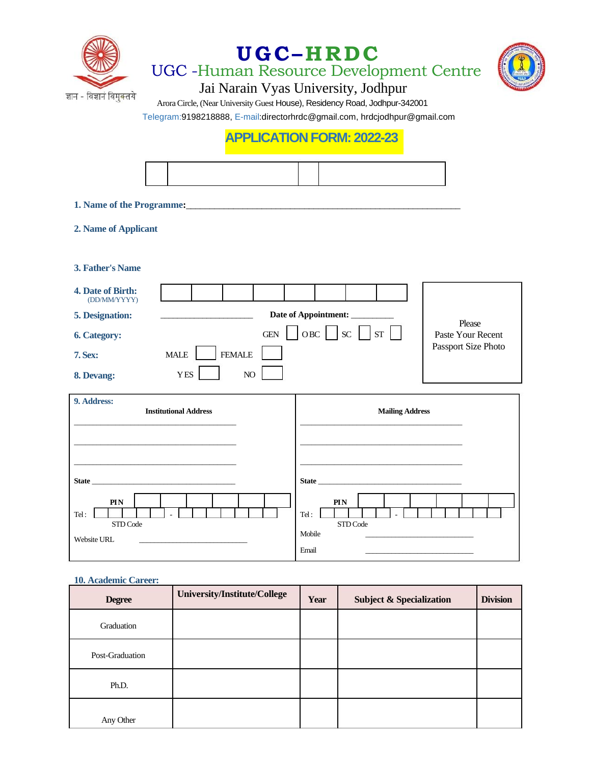

# **UGC– HRDC**

UGC -Human Resource Development Centre



Jai Narain Vyas University, Jodhpur

 Arora Circle, (Near University Guest House), Residency Road, Jodhpur-342001 Telegram:9198218888, E-mail:directorhrdc@gmail.com, hrdcjodhpur@gmail.com

## **APPLICATION FORM: 2022-23**

**1. Name of the Programme:**\_\_\_\_\_\_\_\_\_\_\_\_\_\_\_\_\_\_\_\_\_\_\_\_\_\_\_\_\_\_\_\_\_\_\_\_\_\_\_\_\_\_\_\_\_\_\_\_\_\_\_\_\_\_\_\_\_\_

### **2. Name of Applicant**

**3. Father's Name**

| <b>4. Date of Birth:</b><br>(DD/MM/YYYY) |                                             |                             |
|------------------------------------------|---------------------------------------------|-----------------------------|
| <b>5. Designation:</b>                   | Date of Appointment:                        |                             |
| <b>6. Category:</b>                      | <b>SC</b><br><b>ST</b><br>OBC<br><b>GEN</b> | Please<br>Paste Your Recent |
| <b>7. Sex:</b>                           | <b>FEMALE</b><br><b>MALE</b>                | Passport Size Photo         |
| 8. Devang:                               | NO.<br><b>YES</b>                           |                             |

| 9. Address:<br><b>Institutional Address</b>                                                                                                              | <b>Mailing Address</b>                                                                                                                                                                                                                                                      |
|----------------------------------------------------------------------------------------------------------------------------------------------------------|-----------------------------------------------------------------------------------------------------------------------------------------------------------------------------------------------------------------------------------------------------------------------------|
| State and the state of the state of the state of the state of the state of the state of the state of the state<br>PIN<br>Tel:<br>STD Code<br>Website URL | State and the state of the state of the state of the state of the state of the state of the state of the state of the state of the state of the state of the state of the state of the state of the state of the state of the<br>PIN<br>Tel:<br>STD Code<br>Mobile<br>Email |

### **10. Academic Career:**

| <b>Degree</b>   | University/Institute/College | Year | <b>Subject &amp; Specialization</b> | <b>Division</b> |
|-----------------|------------------------------|------|-------------------------------------|-----------------|
| Graduation      |                              |      |                                     |                 |
| Post-Graduation |                              |      |                                     |                 |
| Ph.D.           |                              |      |                                     |                 |
| Any Other       |                              |      |                                     |                 |